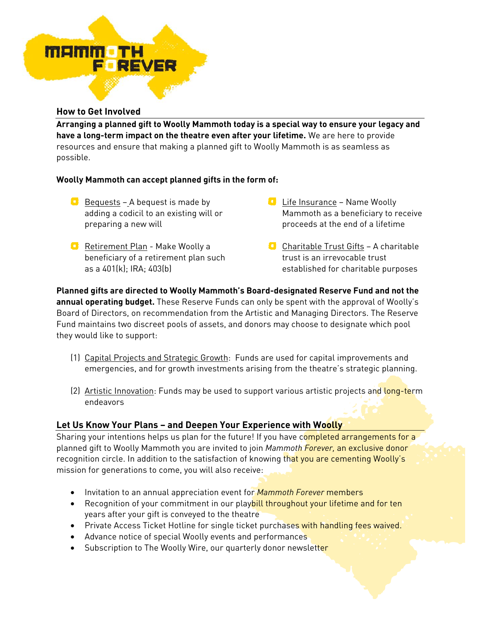

### **How to Get Involved**

**Arranging a planned gift to Woolly Mammoth today is a special way to ensure your legacy and have a long-term impact on the theatre even after your lifetime.** We are here to provide resources and ensure that making a planned gift to Woolly Mammoth is as seamless as possible.

# **Woolly Mammoth can accept planned gifts in the form of:**

- $\bullet$  Bequests A bequest is made by adding a codicil to an existing will or preparing a new will
- **Retirement Plan Make Woolly a** beneficiary of a retirement plan such as a 401(k); IRA; 403(b)
- **Life Insurance Name Woolly** Mammoth as a beneficiary to receive proceeds at the end of a lifetime
- **Charitable Trust Gifts A charitable** trust is an irrevocable trust established for charitable purposes

**Planned gifts are directed to Woolly Mammoth's Board-designated Reserve Fund and not the annual operating budget.** These Reserve Funds can only be spent with the approval of Woolly's Board of Directors, on recommendation from the Artistic and Managing Directors. The Reserve Fund maintains two discreet pools of assets, and donors may choose to designate which pool they would like to support:

- (1) Capital Projects and Strategic Growth: Funds are used for capital improvements and emergencies, and for growth investments arising from the theatre's strategic planning.
- (2) Artistic Innovation: Funds may be used to support various artistic projects and long-term endeavors

# **Let Us Know Your Plans – and Deepen Your Experience with Woolly**

Sharing your intentions helps us plan for the future! If you have completed arrangements for a planned gift to Woolly Mammoth you are invited to join *Mammoth Forever,* an exclusive donor recognition circle. In addition to the satisfaction of knowing that you are cementing Woolly's mission for generations to come, you will also receive:

- Invitation to an annual appreciation event for *Mammoth Forever* members
- Recognition of your commitment in our playbill throughout your lifetime and for ten years after your gift is conveyed to the theatre
- Private Access Ticket Hotline for single ticket purchases with handling fees waived.
- Advance notice of special Woolly events and performances
- Subscription to The Woolly Wire, our quarterly donor newsletter